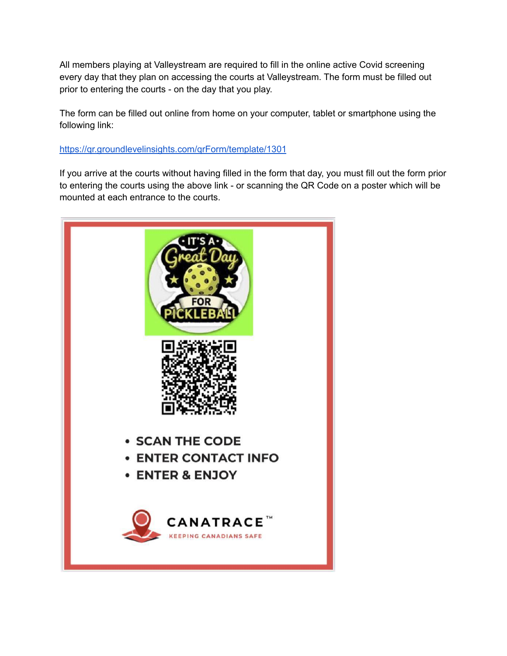All members playing at Valleystream are required to fill in the online active Covid screening every day that they plan on accessing the courts at Valleystream. The form must be filled out prior to entering the courts - on the day that you play.

The form can be filled out online from home on your computer, tablet or smartphone using the following link:

## <https://qr.groundlevelinsights.com/qrForm/template/1301>

If you arrive at the courts without having filled in the form that day, you must fill out the form prior to entering the courts using the above link - or scanning the QR Code on a poster which will be mounted at each entrance to the courts.

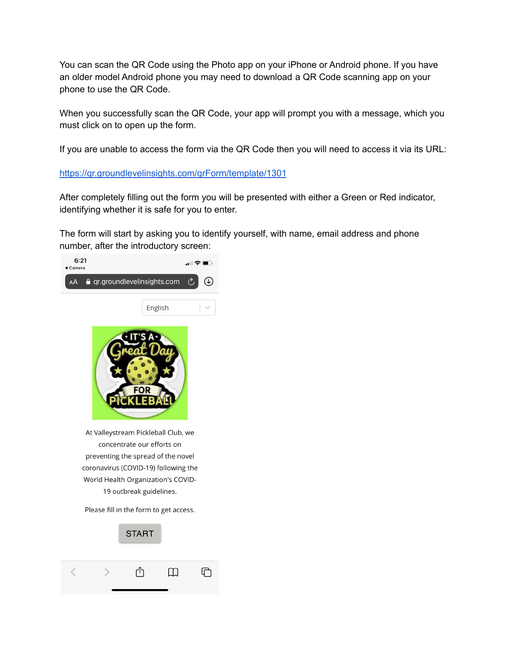You can scan the QR Code using the Photo app on your iPhone or Android phone. If you have an older model Android phone you may need to download a QR Code scanning app on your phone to use the QR Code.

When you successfully scan the QR Code, your app will prompt you with a message, which you must click on to open up the form.

If you are unable to access the form via the QR Code then you will need to access it via its URL:

<https://qr.groundlevelinsights.com/qrForm/template/1301>

After completely filling out the form you will be presented with either a Green or Red indicator, identifying whether it is safe for you to enter.

The form will start by asking you to identify yourself, with name, email address and phone number, after the introductory screen:

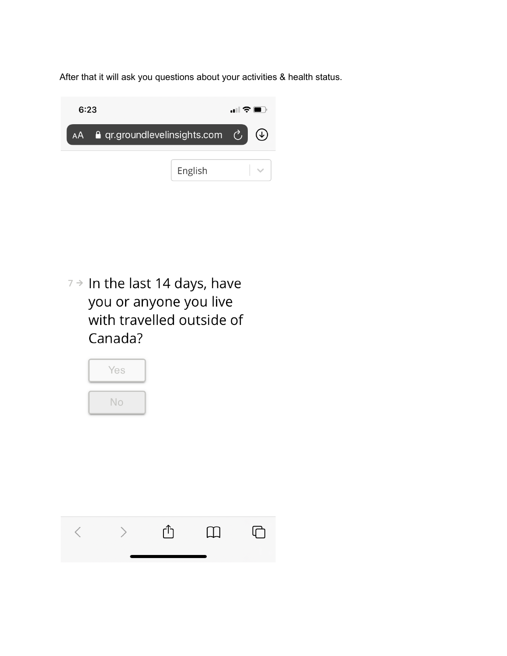After that it will ask you questions about your activities & health status.



 $7 \rightarrow$  In the last 14 days, have you or anyone you live with travelled outside of Canada?



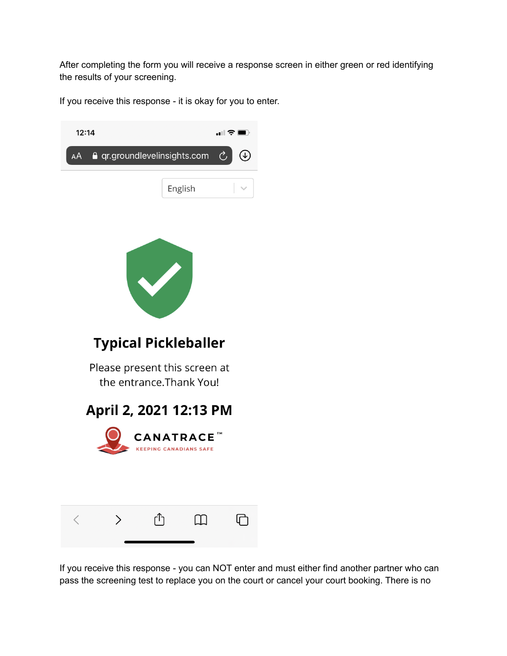After completing the form you will receive a response screen in either green or red identifying the results of your screening.

If you receive this response - it is okay for you to enter.



If you receive this response - you can NOT enter and must either find another partner who can pass the screening test to replace you on the court or cancel your court booking. There is no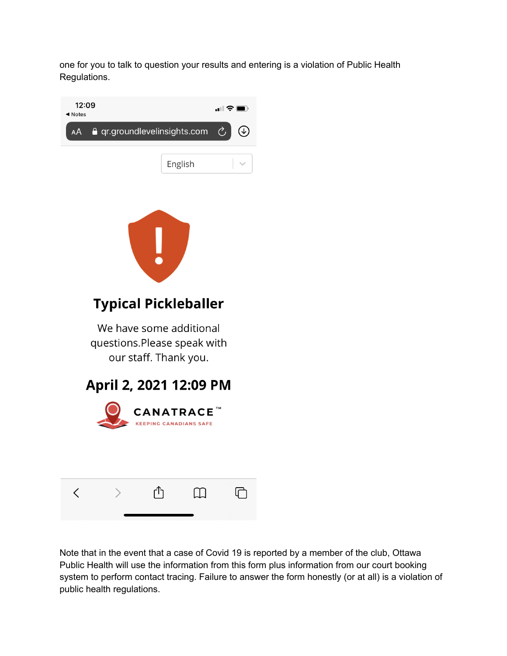one for you to talk to question your results and entering is a violation of Public Health Regulations.



Note that in the event that a case of Covid 19 is reported by a member of the club, Ottawa Public Health will use the information from this form plus information from our court booking system to perform contact tracing. Failure to answer the form honestly (or at all) is a violation of public health regulations.